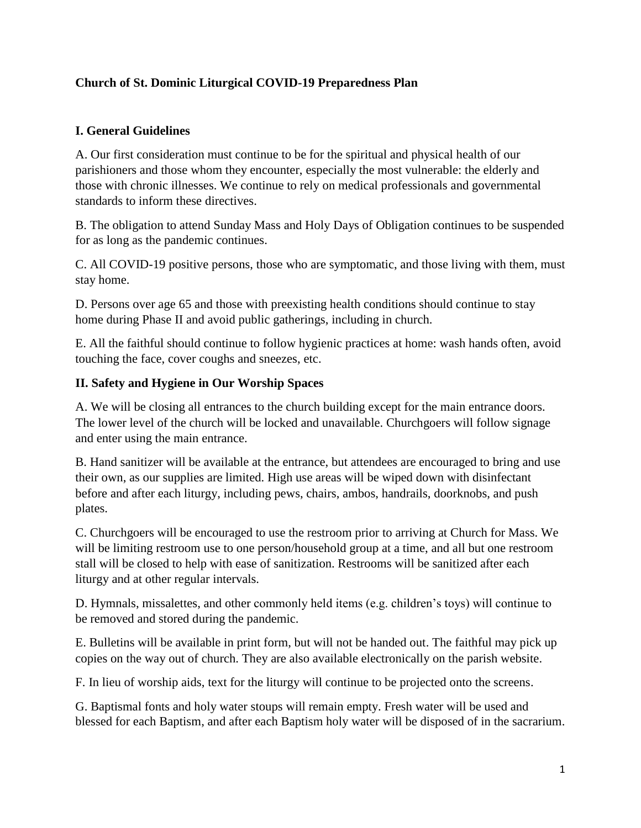## **Church of St. Dominic Liturgical COVID-19 Preparedness Plan**

## **I. General Guidelines**

A. Our first consideration must continue to be for the spiritual and physical health of our parishioners and those whom they encounter, especially the most vulnerable: the elderly and those with chronic illnesses. We continue to rely on medical professionals and governmental standards to inform these directives.

B. The obligation to attend Sunday Mass and Holy Days of Obligation continues to be suspended for as long as the pandemic continues.

C. All COVID-19 positive persons, those who are symptomatic, and those living with them, must stay home.

D. Persons over age 65 and those with preexisting health conditions should continue to stay home during Phase II and avoid public gatherings, including in church.

E. All the faithful should continue to follow hygienic practices at home: wash hands often, avoid touching the face, cover coughs and sneezes, etc.

## **II. Safety and Hygiene in Our Worship Spaces**

A. We will be closing all entrances to the church building except for the main entrance doors. The lower level of the church will be locked and unavailable. Churchgoers will follow signage and enter using the main entrance.

B. Hand sanitizer will be available at the entrance, but attendees are encouraged to bring and use their own, as our supplies are limited. High use areas will be wiped down with disinfectant before and after each liturgy, including pews, chairs, ambos, handrails, doorknobs, and push plates.

C. Churchgoers will be encouraged to use the restroom prior to arriving at Church for Mass. We will be limiting restroom use to one person/household group at a time, and all but one restroom stall will be closed to help with ease of sanitization. Restrooms will be sanitized after each liturgy and at other regular intervals.

D. Hymnals, missalettes, and other commonly held items (e.g. children's toys) will continue to be removed and stored during the pandemic.

E. Bulletins will be available in print form, but will not be handed out. The faithful may pick up copies on the way out of church. They are also available electronically on the parish website.

F. In lieu of worship aids, text for the liturgy will continue to be projected onto the screens.

G. Baptismal fonts and holy water stoups will remain empty. Fresh water will be used and blessed for each Baptism, and after each Baptism holy water will be disposed of in the sacrarium.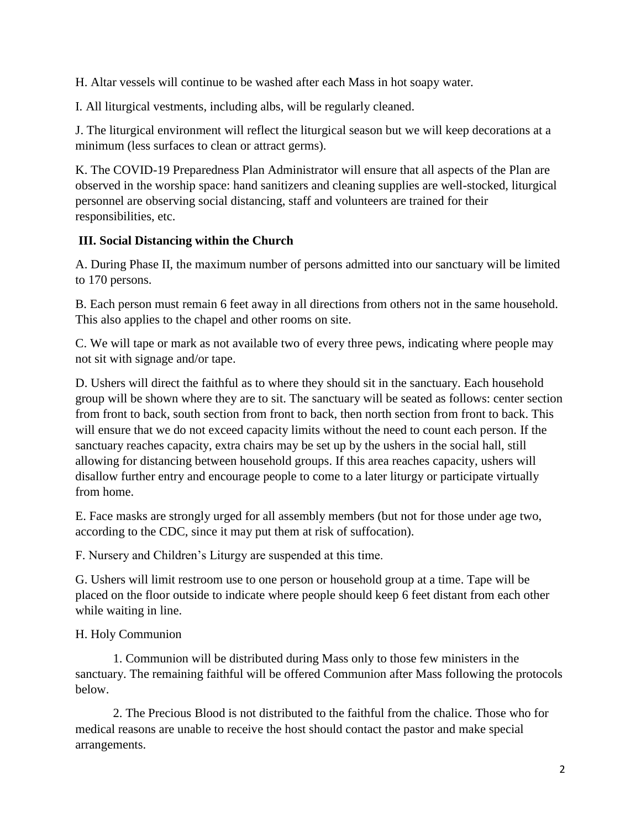H. Altar vessels will continue to be washed after each Mass in hot soapy water.

I. All liturgical vestments, including albs, will be regularly cleaned.

J. The liturgical environment will reflect the liturgical season but we will keep decorations at a minimum (less surfaces to clean or attract germs).

K. The COVID-19 Preparedness Plan Administrator will ensure that all aspects of the Plan are observed in the worship space: hand sanitizers and cleaning supplies are well-stocked, liturgical personnel are observing social distancing, staff and volunteers are trained for their responsibilities, etc.

# **III. Social Distancing within the Church**

A. During Phase II, the maximum number of persons admitted into our sanctuary will be limited to 170 persons.

B. Each person must remain 6 feet away in all directions from others not in the same household. This also applies to the chapel and other rooms on site.

C. We will tape or mark as not available two of every three pews, indicating where people may not sit with signage and/or tape.

D. Ushers will direct the faithful as to where they should sit in the sanctuary. Each household group will be shown where they are to sit. The sanctuary will be seated as follows: center section from front to back, south section from front to back, then north section from front to back. This will ensure that we do not exceed capacity limits without the need to count each person. If the sanctuary reaches capacity, extra chairs may be set up by the ushers in the social hall, still allowing for distancing between household groups. If this area reaches capacity, ushers will disallow further entry and encourage people to come to a later liturgy or participate virtually from home.

E. Face masks are strongly urged for all assembly members (but not for those under age two, according to the CDC, since it may put them at risk of suffocation).

F. Nursery and Children's Liturgy are suspended at this time.

G. Ushers will limit restroom use to one person or household group at a time. Tape will be placed on the floor outside to indicate where people should keep 6 feet distant from each other while waiting in line.

# H. Holy Communion

1. Communion will be distributed during Mass only to those few ministers in the sanctuary. The remaining faithful will be offered Communion after Mass following the protocols below.

2. The Precious Blood is not distributed to the faithful from the chalice. Those who for medical reasons are unable to receive the host should contact the pastor and make special arrangements.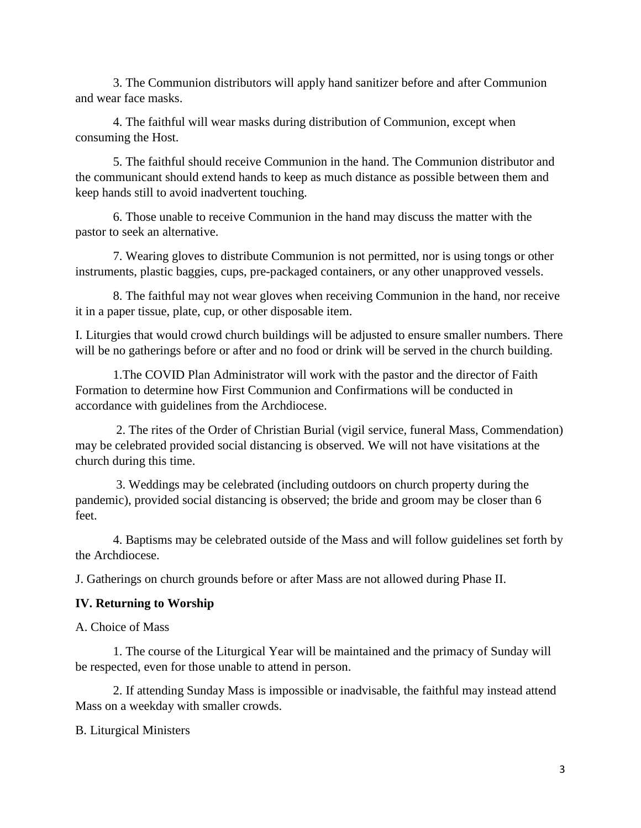3. The Communion distributors will apply hand sanitizer before and after Communion and wear face masks.

4. The faithful will wear masks during distribution of Communion, except when consuming the Host.

5. The faithful should receive Communion in the hand. The Communion distributor and the communicant should extend hands to keep as much distance as possible between them and keep hands still to avoid inadvertent touching.

6. Those unable to receive Communion in the hand may discuss the matter with the pastor to seek an alternative.

7. Wearing gloves to distribute Communion is not permitted, nor is using tongs or other instruments, plastic baggies, cups, pre-packaged containers, or any other unapproved vessels.

8. The faithful may not wear gloves when receiving Communion in the hand, nor receive it in a paper tissue, plate, cup, or other disposable item.

I. Liturgies that would crowd church buildings will be adjusted to ensure smaller numbers. There will be no gatherings before or after and no food or drink will be served in the church building.

1.The COVID Plan Administrator will work with the pastor and the director of Faith Formation to determine how First Communion and Confirmations will be conducted in accordance with guidelines from the Archdiocese.

2. The rites of the Order of Christian Burial (vigil service, funeral Mass, Commendation) may be celebrated provided social distancing is observed. We will not have visitations at the church during this time.

3. Weddings may be celebrated (including outdoors on church property during the pandemic), provided social distancing is observed; the bride and groom may be closer than 6 feet.

4. Baptisms may be celebrated outside of the Mass and will follow guidelines set forth by the Archdiocese.

J. Gatherings on church grounds before or after Mass are not allowed during Phase II.

## **IV. Returning to Worship**

A. Choice of Mass

1. The course of the Liturgical Year will be maintained and the primacy of Sunday will be respected, even for those unable to attend in person.

2. If attending Sunday Mass is impossible or inadvisable, the faithful may instead attend Mass on a weekday with smaller crowds.

B. Liturgical Ministers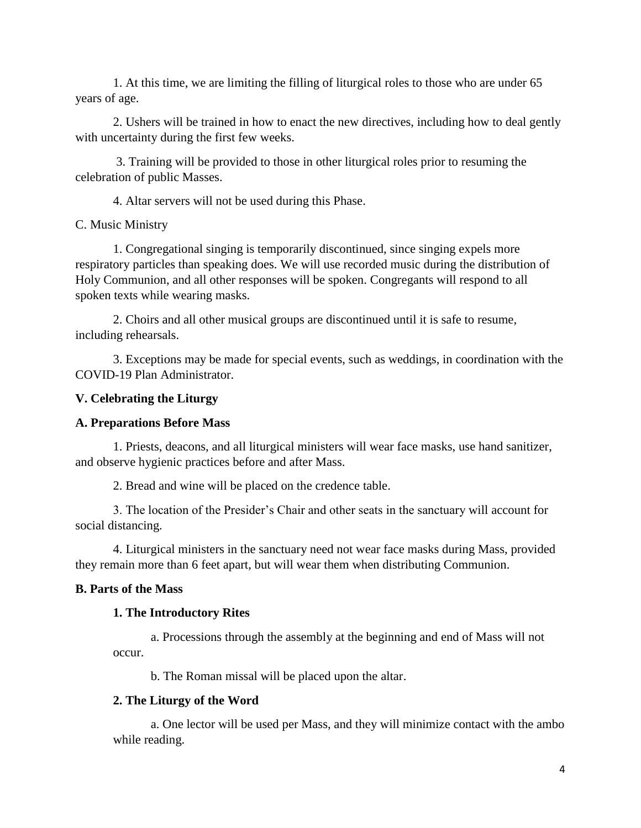1. At this time, we are limiting the filling of liturgical roles to those who are under 65 years of age.

2. Ushers will be trained in how to enact the new directives, including how to deal gently with uncertainty during the first few weeks.

3. Training will be provided to those in other liturgical roles prior to resuming the celebration of public Masses.

4. Altar servers will not be used during this Phase.

C. Music Ministry

1. Congregational singing is temporarily discontinued, since singing expels more respiratory particles than speaking does. We will use recorded music during the distribution of Holy Communion, and all other responses will be spoken. Congregants will respond to all spoken texts while wearing masks.

2. Choirs and all other musical groups are discontinued until it is safe to resume, including rehearsals.

3. Exceptions may be made for special events, such as weddings, in coordination with the COVID-19 Plan Administrator.

## **V. Celebrating the Liturgy**

#### **A. Preparations Before Mass**

1. Priests, deacons, and all liturgical ministers will wear face masks, use hand sanitizer, and observe hygienic practices before and after Mass.

2. Bread and wine will be placed on the credence table.

3. The location of the Presider's Chair and other seats in the sanctuary will account for social distancing.

4. Liturgical ministers in the sanctuary need not wear face masks during Mass, provided they remain more than 6 feet apart, but will wear them when distributing Communion.

## **B. Parts of the Mass**

#### **1. The Introductory Rites**

a. Processions through the assembly at the beginning and end of Mass will not occur.

b. The Roman missal will be placed upon the altar.

## **2. The Liturgy of the Word**

a. One lector will be used per Mass, and they will minimize contact with the ambo while reading.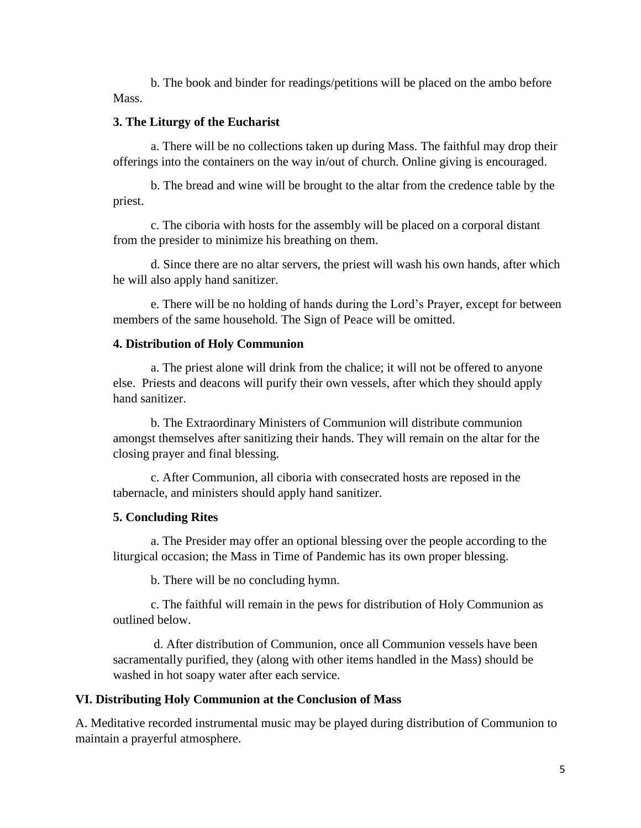b. The book and binder for readings/petitions will be placed on the ambo before Mass.

## **3. The Liturgy of the Eucharist**

a. There will be no collections taken up during Mass. The faithful may drop their offerings into the containers on the way in/out of church. Online giving is encouraged.

b. The bread and wine will be brought to the altar from the credence table by the priest.

c. The ciboria with hosts for the assembly will be placed on a corporal distant from the presider to minimize his breathing on them.

d. Since there are no altar servers, the priest will wash his own hands, after which he will also apply hand sanitizer.

e. There will be no holding of hands during the Lord's Prayer, except for between members of the same household. The Sign of Peace will be omitted.

### **4. Distribution of Holy Communion**

a. The priest alone will drink from the chalice; it will not be offered to anyone else. Priests and deacons will purify their own vessels, after which they should apply hand sanitizer.

b. The Extraordinary Ministers of Communion will distribute communion amongst themselves after sanitizing their hands. They will remain on the altar for the closing prayer and final blessing.

c. After Communion, all ciboria with consecrated hosts are reposed in the tabernacle, and ministers should apply hand sanitizer.

## **5. Concluding Rites**

a. The Presider may offer an optional blessing over the people according to the liturgical occasion; the Mass in Time of Pandemic has its own proper blessing.

b. There will be no concluding hymn.

c. The faithful will remain in the pews for distribution of Holy Communion as outlined below.

d. After distribution of Communion, once all Communion vessels have been sacramentally purified, they (along with other items handled in the Mass) should be washed in hot soapy water after each service.

### **VI. Distributing Holy Communion at the Conclusion of Mass**

A. Meditative recorded instrumental music may be played during distribution of Communion to maintain a prayerful atmosphere.